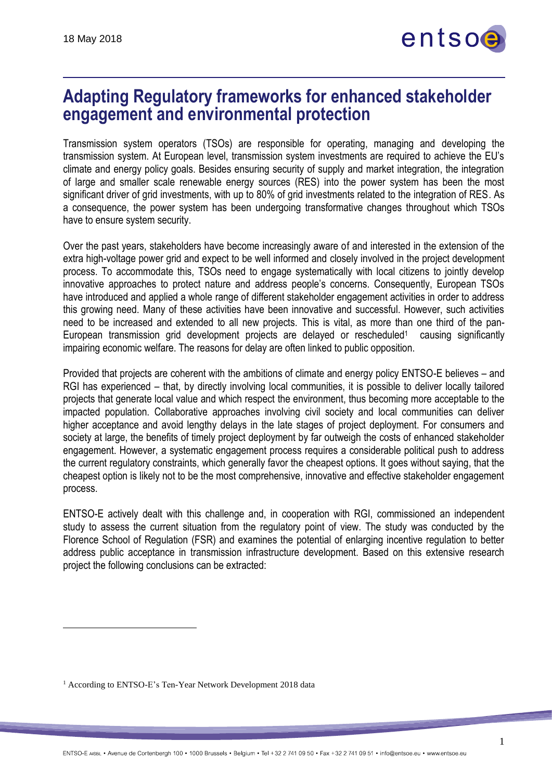

## **Adapting Regulatory frameworks for enhanced stakeholder engagement and environmental protection**

Transmission system operators (TSOs) are responsible for operating, managing and developing the transmission system. At European level, transmission system investments are required to achieve the EU's climate and energy policy goals. Besides ensuring security of supply and market integration, the integration of large and smaller scale renewable energy sources (RES) into the power system has been the most significant driver of grid investments, with up to 80% of grid investments related to the integration of RES. As a consequence, the power system has been undergoing transformative changes throughout which TSOs have to ensure system security.

Over the past years, stakeholders have become increasingly aware of and interested in the extension of the extra high-voltage power grid and expect to be well informed and closely involved in the project development process. To accommodate this, TSOs need to engage systematically with local citizens to jointly develop innovative approaches to protect nature and address people's concerns. Consequently, European TSOs have introduced and applied a whole range of different stakeholder engagement activities in order to address this growing need. Many of these activities have been innovative and successful. However, such activities need to be increased and extended to all new projects. This is vital, as more than one third of the pan-European transmission grid development projects are delayed or rescheduled<sup>1</sup> causing significantly impairing economic welfare. The reasons for delay are often linked to public opposition.

Provided that projects are coherent with the ambitions of climate and energy policy ENTSO-E believes – and RGI has experienced – that, by directly involving local communities, it is possible to deliver locally tailored projects that generate local value and which respect the environment, thus becoming more acceptable to the impacted population. Collaborative approaches involving civil society and local communities can deliver higher acceptance and avoid lengthy delays in the late stages of project deployment. For consumers and society at large, the benefits of timely project deployment by far outweigh the costs of enhanced stakeholder engagement. However, a systematic engagement process requires a considerable political push to address the current regulatory constraints, which generally favor the cheapest options. It goes without saying, that the cheapest option is likely not to be the most comprehensive, innovative and effective stakeholder engagement process.

ENTSO-E actively dealt with this challenge and, in cooperation with RGI, commissioned an independent study to assess the current situation from the regulatory point of view. The study was conducted by the Florence School of Regulation (FSR) and examines the potential of enlarging incentive regulation to better address public acceptance in transmission infrastructure development. Based on this extensive research project the following conclusions can be extracted:

<sup>&</sup>lt;sup>1</sup> According to ENTSO-E's Ten-Year Network Development 2018 data